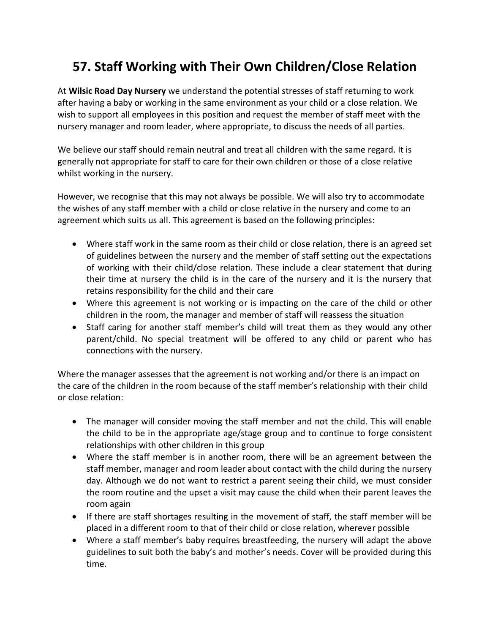## **57. Staff Working with Their Own Children/Close Relation**

At **Wilsic Road Day Nursery** we understand the potential stresses of staff returning to work after having a baby or working in the same environment as your child or a close relation. We wish to support all employees in this position and request the member of staff meet with the nursery manager and room leader, where appropriate, to discuss the needs of all parties.

We believe our staff should remain neutral and treat all children with the same regard. It is generally not appropriate for staff to care for their own children or those of a close relative whilst working in the nursery.

However, we recognise that this may not always be possible. We will also try to accommodate the wishes of any staff member with a child or close relative in the nursery and come to an agreement which suits us all. This agreement is based on the following principles:

- Where staff work in the same room as their child or close relation, there is an agreed set of guidelines between the nursery and the member of staff setting out the expectations of working with their child/close relation. These include a clear statement that during their time at nursery the child is in the care of the nursery and it is the nursery that retains responsibility for the child and their care
- Where this agreement is not working or is impacting on the care of the child or other children in the room, the manager and member of staff will reassess the situation
- Staff caring for another staff member's child will treat them as they would any other parent/child. No special treatment will be offered to any child or parent who has connections with the nursery.

Where the manager assesses that the agreement is not working and/or there is an impact on the care of the children in the room because of the staff member's relationship with their child or close relation:

- The manager will consider moving the staff member and not the child. This will enable the child to be in the appropriate age/stage group and to continue to forge consistent relationships with other children in this group
- Where the staff member is in another room, there will be an agreement between the staff member, manager and room leader about contact with the child during the nursery day. Although we do not want to restrict a parent seeing their child, we must consider the room routine and the upset a visit may cause the child when their parent leaves the room again
- If there are staff shortages resulting in the movement of staff, the staff member will be placed in a different room to that of their child or close relation, wherever possible
- Where a staff member's baby requires breastfeeding, the nursery will adapt the above guidelines to suit both the baby's and mother's needs. Cover will be provided during this time.